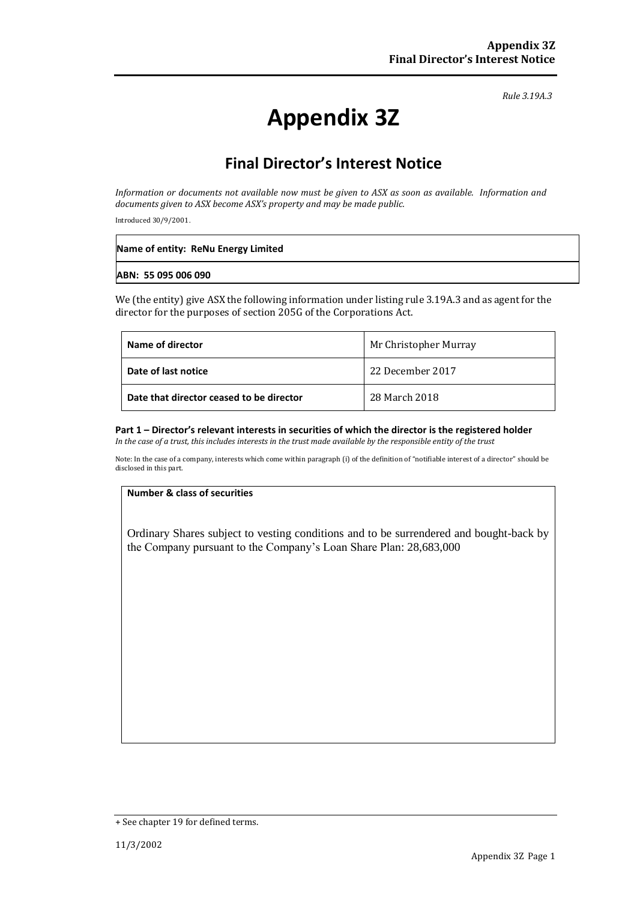*Rule 3.19A.3*

# **Appendix 3Z**

## **Final Director's Interest Notice**

*Information or documents not available now must be given to ASX as soon as available. Information and documents given to ASX become ASX's property and may be made public.*

Introduced 30/9/2001.

| Name of entity: ReNu Energy Limited |
|-------------------------------------|
| ABN: 55 095 006 090                 |

We (the entity) give ASX the following information under listing rule 3.19A.3 and as agent for the director for the purposes of section 205G of the Corporations Act.

| Name of director                         | Mr Christopher Murray |
|------------------------------------------|-----------------------|
| Date of last notice                      | 22 December 2017      |
| Date that director ceased to be director | 28 March 2018         |

### **Part 1 – Director's relevant interests in securities of which the director is the registered holder**

*In the case of a trust, this includes interests in the trust made available by the responsible entity of the trust*

Note: In the case of a company, interests which come within paragraph (i) of the definition of "notifiable interest of a director" should be disclosed in this part.

#### **Number & class of securities**

Ordinary Shares subject to vesting conditions and to be surrendered and bought-back by the Company pursuant to the Company's Loan Share Plan: 28,683,000

<sup>+</sup> See chapter 19 for defined terms.